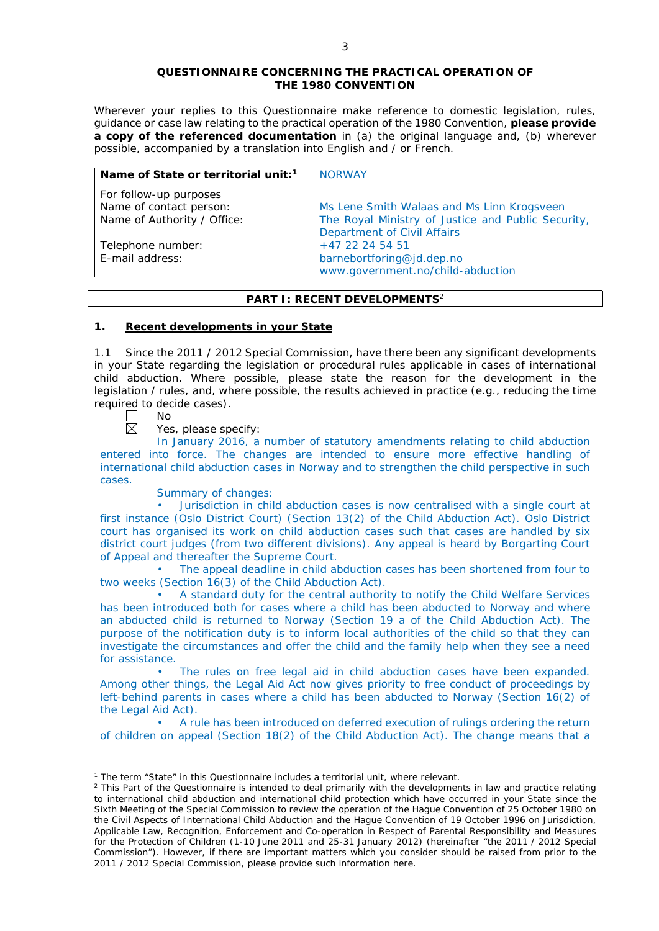#### **QUESTIONNAIRE CONCERNING THE PRACTICAL OPERATION OF THE 1980 CONVENTION**

*Wherever your replies to this Questionnaire make reference to domestic legislation, rules, guidance or case law relating to the practical operation of the 1980 Convention, please provide a copy of the referenced documentation in (a) the original language and, (b) wherever possible, accompanied by a translation into English and / or French.* 

| Name of State or territorial unit: <sup>1</sup>                                  | <b>NORWAY</b>                                                                                                                   |
|----------------------------------------------------------------------------------|---------------------------------------------------------------------------------------------------------------------------------|
| For follow-up purposes<br>Name of contact person:<br>Name of Authority / Office: | Ms Lene Smith Walaas and Ms Linn Krogsveen<br>The Royal Ministry of Justice and Public Security,<br>Department of Civil Affairs |
| Telephone number:<br>E-mail address:                                             | $+47$ 22 24 54 51<br>barnebortforing@jd.dep.no<br>www.government.no/child-abduction                                             |

# **PART I: RECENT DEVELOPMENTS**<sup>2</sup>

## **1. Recent developments in your State**

1.1 Since the 2011 / 2012 Special Commission, have there been any significant developments in your State regarding the legislation or procedural rules applicable in cases of international child abduction. Where possible, please state the reason for the development in the legislation / rules, and, where possible, the results achieved in practice (*e.g.*, reducing the time required to decide cases).

No 岗

<u>.</u>

Yes, please specify:

In January 2016, a number of statutory amendments relating to child abduction entered into force. The changes are intended to ensure more effective handling of international child abduction cases in Norway and to strengthen the child perspective in such cases.

Summary of changes:

• Jurisdiction in child abduction cases is now centralised with a single court at first instance (Oslo District Court) (Section 13(2) of the Child Abduction Act). Oslo District court has organised its work on child abduction cases such that cases are handled by six district court judges (from two different divisions). Any appeal is heard by Borgarting Court of Appeal and thereafter the Supreme Court.

• The appeal deadline in child abduction cases has been shortened from four to two weeks (Section 16(3) of the Child Abduction Act).

• A standard duty for the central authority to notify the Child Welfare Services has been introduced both for cases where a child has been abducted to Norway and where an abducted child is returned to Norway (Section 19 a of the Child Abduction Act). The purpose of the notification duty is to inform local authorities of the child so that they can investigate the circumstances and offer the child and the family help when they see a need for assistance.

The rules on free legal aid in child abduction cases have been expanded. Among other things, the Legal Aid Act now gives priority to free conduct of proceedings by left-behind parents in cases where a child has been abducted to Norway (Section 16(2) of the Legal Aid Act).

• A rule has been introduced on deferred execution of rulings ordering the return of children on appeal (Section 18(2) of the Child Abduction Act). The change means that a

<sup>&</sup>lt;sup>1</sup> The term "State" in this Questionnaire includes a territorial unit, where relevant.

<sup>&</sup>lt;sup>2</sup> This Part of the Questionnaire is intended to deal primarily with the developments in law and practice relating to international child abduction and international child protection which have occurred in your State since the Sixth Meeting of the Special Commission to review the operation of the *Hague Convention of 25 October 1980 on the Civil Aspects of International Child Abduction* and the *Hague Convention of 19 October 1996 on Jurisdiction, Applicable Law, Recognition, Enforcement and Co-operation in Respect of Parental Responsibility and Measures for the Protection of Children* (1-10 June 2011 and 25-31 January 2012) (hereinafter "the 2011 / 2012 Special Commission"). However, if there are important matters which you consider should be raised from *prior to* the 2011 / 2012 Special Commission, please provide such information here.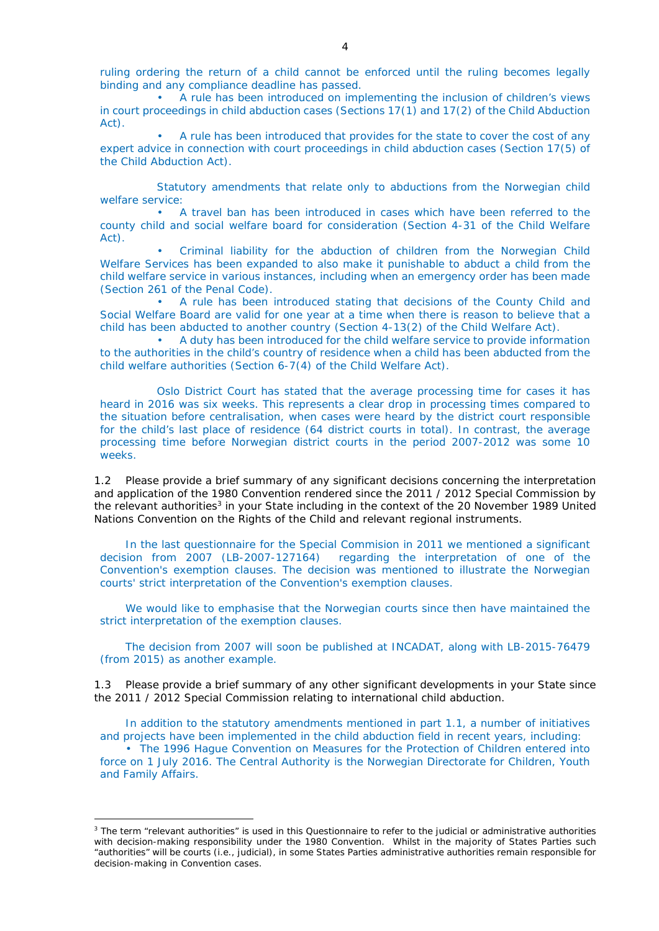ruling ordering the return of a child cannot be enforced until the ruling becomes legally binding and any compliance deadline has passed.

• A rule has been introduced on implementing the inclusion of children's views in court proceedings in child abduction cases (Sections 17(1) and 17(2) of the Child Abduction Act).

• A rule has been introduced that provides for the state to cover the cost of any expert advice in connection with court proceedings in child abduction cases (Section 17(5) of the Child Abduction Act).

Statutory amendments that relate only to abductions from the Norwegian child welfare service:

• A travel ban has been introduced in cases which have been referred to the county child and social welfare board for consideration (Section 4-31 of the Child Welfare Act).

• Criminal liability for the abduction of children from the Norwegian Child Welfare Services has been expanded to also make it punishable to abduct a child from the child welfare service in various instances, including when an emergency order has been made (Section 261 of the Penal Code).

• A rule has been introduced stating that decisions of the County Child and Social Welfare Board are valid for one year at a time when there is reason to believe that a child has been abducted to another country (Section 4-13(2) of the Child Welfare Act).

• A duty has been introduced for the child welfare service to provide information to the authorities in the child's country of residence when a child has been abducted from the child welfare authorities (Section 6-7(4) of the Child Welfare Act).

Oslo District Court has stated that the average processing time for cases it has heard in 2016 was six weeks. This represents a clear drop in processing times compared to the situation before centralisation, when cases were heard by the district court responsible for the child's last place of residence (64 district courts in total). In contrast, the average processing time before Norwegian district courts in the period 2007-2012 was some 10 weeks.

1.2 Please provide a brief summary of any significant decisions concerning the interpretation and application of the 1980 Convention rendered since the 2011 / 2012 Special Commission by the relevant authorities<sup>3</sup> in your State including in the context of the 20 November 1989 United Nations Convention on the Rights of the Child and relevant regional instruments.

In the last questionnaire for the Special Commision in 2011 we mentioned a significant decision from 2007 (LB-2007-127164) regarding the interpretation of one of the Convention's exemption clauses. The decision was mentioned to illustrate the Norwegian courts' strict interpretation of the Convention's exemption clauses.

We would like to emphasise that the Norwegian courts since then have maintained the strict interpretation of the exemption clauses.

The decision from 2007 will soon be published at INCADAT, along with LB-2015-76479 (from 2015) as another example.

1.3 Please provide a brief summary of any other significant developments in your State since the 2011 / 2012 Special Commission relating to international child abduction.

In addition to the statutory amendments mentioned in part 1.1, a number of initiatives and projects have been implemented in the child abduction field in recent years, including:

• The 1996 Hague Convention on Measures for the Protection of Children entered into force on 1 July 2016. The Central Authority is the Norwegian Directorate for Children, Youth and Family Affairs.

-

<sup>&</sup>lt;sup>3</sup> The term "relevant authorities" is used in this Questionnaire to refer to the judicial or administrative authorities with decision-making responsibility under the 1980 Convention. Whilst in the majority of States Parties such "authorities" will be courts (*i.e.*, judicial), in some States Parties administrative authorities remain responsible for decision-making in Convention cases.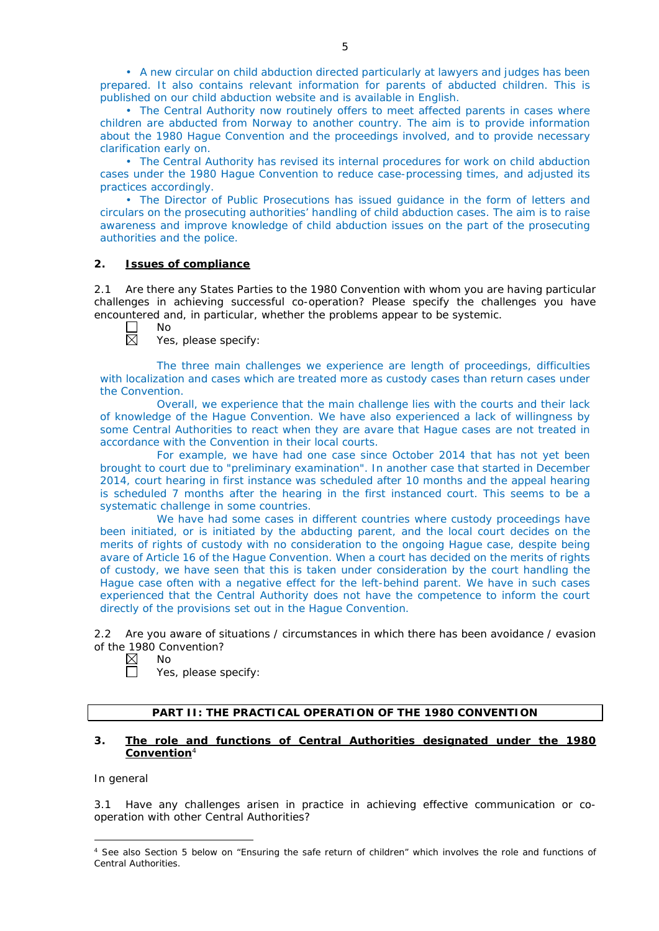• A new circular on child abduction directed particularly at lawyers and judges has been prepared. It also contains relevant information for parents of abducted children. This is published on our child abduction website and is available in English.

• The Central Authority now routinely offers to meet affected parents in cases where children are abducted from Norway to another country. The aim is to provide information about the 1980 Hague Convention and the proceedings involved, and to provide necessary clarification early on.

• The Central Authority has revised its internal procedures for work on child abduction cases under the 1980 Hague Convention to reduce case-processing times, and adjusted its practices accordingly.

• The Director of Public Prosecutions has issued guidance in the form of letters and circulars on the prosecuting authorities' handling of child abduction cases. The aim is to raise awareness and improve knowledge of child abduction issues on the part of the prosecuting authorities and the police.

## **2. Issues of compliance**

No

2.1 Are there any States Parties to the 1980 Convention with whom you are having particular challenges in achieving successful co-operation? Please specify the challenges you have encountered and, in particular, whether the problems appear to be systemic.

Yes, please specify:

The three main challenges we experience are length of proceedings, difficulties with localization and cases which are treated more as custody cases than return cases under the Convention.

Overall, we experience that the main challenge lies with the courts and their lack of knowledge of the Hague Convention. We have also experienced a lack of willingness by some Central Authorities to react when they are avare that Hague cases are not treated in accordance with the Convention in their local courts.

For example, we have had one case since October 2014 that has not yet been brought to court due to "preliminary examination". In another case that started in December 2014, court hearing in first instance was scheduled after 10 months and the appeal hearing is scheduled 7 months after the hearing in the first instanced court. This seems to be a systematic challenge in some countries.

We have had some cases in different countries where custody proceedings have been initiated, or is initiated by the abducting parent, and the local court decides on the merits of rights of custody with no consideration to the ongoing Hague case, despite being avare of Article 16 of the Hague Convention. When a court has decided on the merits of rights of custody, we have seen that this is taken under consideration by the court handling the Hague case often with a negative effect for the left-behind parent. We have in such cases experienced that the Central Authority does not have the competence to inform the court directly of the provisions set out in the Hague Convention.

2.2 Are you aware of situations / circumstances in which there has been avoidance / evasion of the 1980 Convention?

- $\boxtimes$ No  $\Box$ 
	- Yes, please specify:

## **PART II: THE PRACTICAL OPERATION OF THE 1980 CONVENTION**

#### **3. The role and functions of Central Authorities designated under the 1980 Convention**<sup>4</sup>

## *In general*

-

3.1 Have any challenges arisen in practice in achieving effective communication or cooperation with other Central Authorities?

<sup>4</sup> See also Section 5 below on "Ensuring the safe return of children" which involves the role and functions of Central Authorities.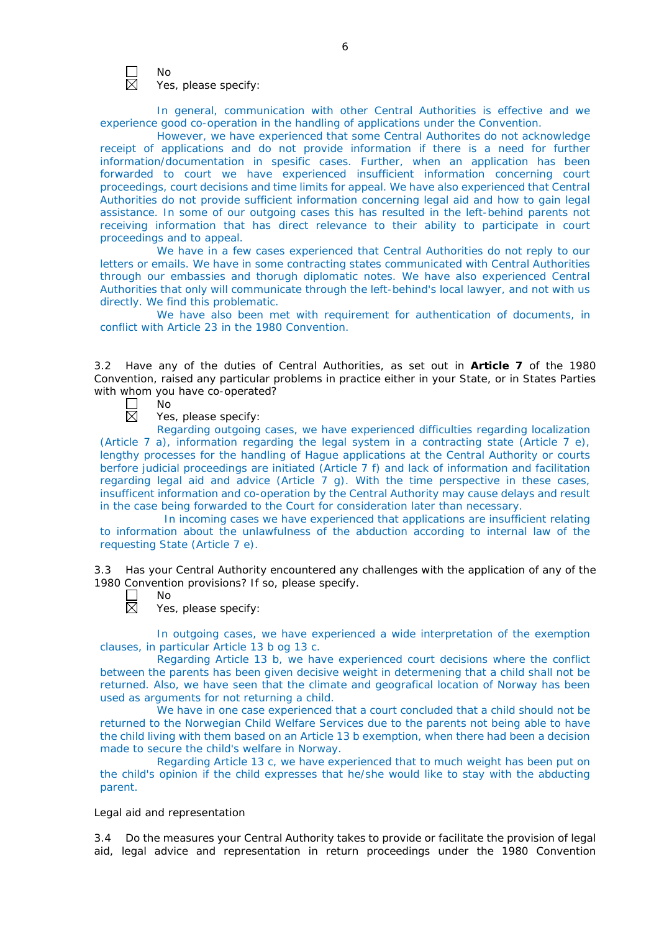

No Yes, please specify:

In general, communication with other Central Authorities is effective and we experience good co-operation in the handling of applications under the Convention.

However, we have experienced that some Central Authorites do not acknowledge receipt of applications and do not provide information if there is a need for further information/documentation in spesific cases. Further, when an application has been forwarded to court we have experienced insufficient information concerning court proceedings, court decisions and time limits for appeal. We have also experienced that Central Authorities do not provide sufficient information concerning legal aid and how to gain legal assistance. In some of our outgoing cases this has resulted in the left-behind parents not receiving information that has direct relevance to their ability to participate in court proceedings and to appeal.

We have in a few cases experienced that Central Authorities do not reply to our letters or emails. We have in some contracting states communicated with Central Authorities through our embassies and thorugh diplomatic notes. We have also experienced Central Authorities that only will communicate through the left-behind's local lawyer, and not with us directly. We find this problematic.

We have also been met with requirement for authentication of documents, in conflict with Article 23 in the 1980 Convention.

3.2 Have any of the duties of Central Authorities, as set out in **Article 7** of the 1980 Convention, raised any particular problems in practice either in your State, or in States Parties with whom you have co-operated?<br>  $\Box$  No<br>  $\boxtimes$  Yes, please specify: No

Yes, please specify:

Regarding outgoing cases, we have experienced difficulties regarding localization (Article 7 a), information regarding the legal system in a contracting state (Article 7 e), lengthy processes for the handling of Hague applications at the Central Authority or courts berfore judicial proceedings are initiated (Article 7 f) and lack of information and facilitation regarding legal aid and advice (Article 7 g). With the time perspective in these cases, insufficent information and co-operation by the Central Authority may cause delays and result in the case being forwarded to the Court for consideration later than necessary.

 In incoming cases we have experienced that applications are insufficient relating to information about the unlawfulness of the abduction according to internal law of the requesting State (Article 7 e).

3.3 Has your Central Authority encountered any challenges with the application of any of the 1980 Convention provisions? If so, please specify.

岗

No

Yes, please specify:

In outgoing cases, we have experienced a wide interpretation of the exemption clauses, in particular Article 13 b og 13 c.

Regarding Article 13 b, we have experienced court decisions where the conflict between the parents has been given decisive weight in determening that a child shall not be returned. Also, we have seen that the climate and geografical location of Norway has been used as arguments for not returning a child.

We have in one case experienced that a court concluded that a child should not be returned to the Norwegian Child Welfare Services due to the parents not being able to have the child living with them based on an Article 13 b exemption, when there had been a decision made to secure the child's welfare in Norway.

Regarding Article 13 c, we have experienced that to much weight has been put on the child's opinion if the child expresses that he/she would like to stay with the abducting parent.

#### *Legal aid and representation*

3.4 Do the measures your Central Authority takes to provide or facilitate the provision of legal aid, legal advice and representation in return proceedings under the 1980 Convention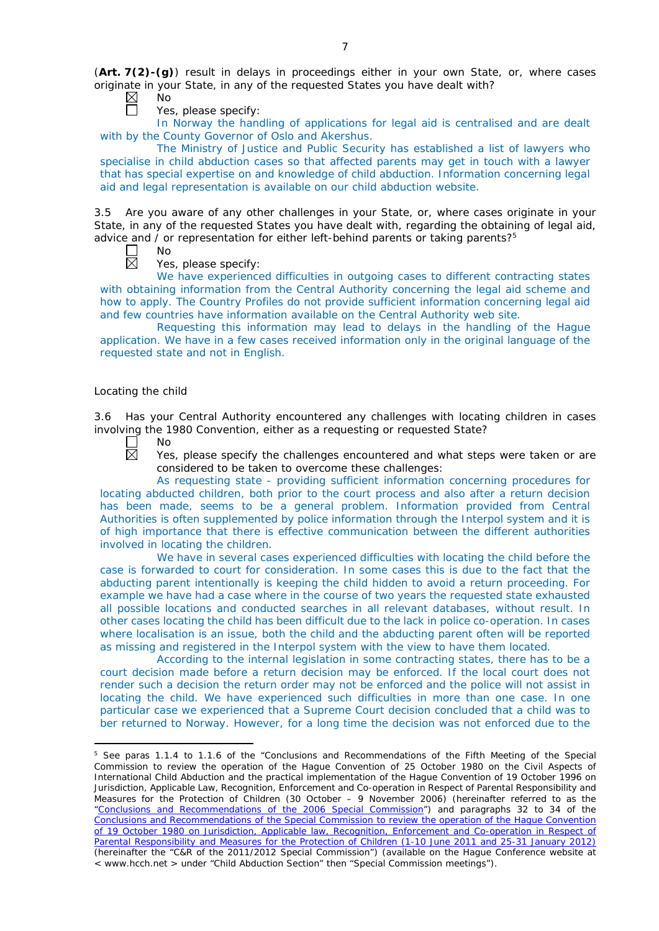(**Art. 7(2)-(g)**) result in delays in proceedings either in your own State, or, where cases originate in your State, in any of the requested States you have dealt with?

 $\boxtimes$ No

Yes, please specify:

In Norway the handling of applications for legal aid is centralised and are dealt with by the County Governor of Oslo and Akershus.

The Ministry of Justice and Public Security has established a list of lawyers who specialise in child abduction cases so that affected parents may get in touch with a lawyer that has special expertise on and knowledge of child abduction. Information concerning legal aid and legal representation is available on our child abduction website.

3.5 Are you aware of any other challenges in your State, or, where cases originate in your State, in any of the requested States you have dealt with, regarding the obtaining of legal aid, advice and / or representation for either left-behind parents or taking parents? $5$ 

No

Yes, please specify:

We have experienced difficulties in outgoing cases to different contracting states with obtaining information from the Central Authority concerning the legal aid scheme and how to apply. The Country Profiles do not provide sufficient information concerning legal aid and few countries have information available on the Central Authority web site.

Requesting this information may lead to delays in the handling of the Hague application. We have in a few cases received information only in the original language of the requested state and not in English.

# *Locating the child*

3.6 Has your Central Authority encountered any challenges with locating children in cases involving the 1980 Convention, either as a requesting or requested State?



<u>.</u>

No

Yes, please specify the challenges encountered and what steps were taken or are considered to be taken to overcome these challenges:

As requesting state - providing sufficient information concerning procedures for locating abducted children, both prior to the court process and also after a return decision has been made, seems to be a general problem. Information provided from Central Authorities is often supplemented by police information through the Interpol system and it is of high importance that there is effective communication between the different authorities involved in locating the children.

We have in several cases experienced difficulties with locating the child before the case is forwarded to court for consideration. In some cases this is due to the fact that the abducting parent intentionally is keeping the child hidden to avoid a return proceeding. For example we have had a case where in the course of two years the requested state exhausted all possible locations and conducted searches in all relevant databases, without result. In other cases locating the child has been difficult due to the lack in police co-operation. In cases where localisation is an issue, both the child and the abducting parent often will be reported as missing and registered in the Interpol system with the view to have them located.

According to the internal legislation in some contracting states, there has to be a court decision made before a return decision may be enforced. If the local court does not render such a decision the return order may not be enforced and the police will not assist in locating the child. We have experienced such difficulties in more than one case. In one particular case we experienced that a Supreme Court decision concluded that a child was to ber returned to Norway. However, for a long time the decision was not enforced due to the

<sup>&</sup>lt;sup>5</sup> See paras 1.1.4 to 1.1.6 of the "Conclusions and Recommendations of the Fifth Meeting of the Special Commission to review the operation of the *Hague Convention of 25 October 1980 on the Civil Aspects of International Child Abduction* and the practical implementation of the *Hague Convention of 19 October 1996 on Jurisdiction, Applicable Law, Recognition, Enforcement and Co-operation in Respect of Parental Responsibility and Measures for the Protection of Children* (30 October – 9 November 2006) (hereinafter referred to as the ["Conclusions and Recommendations of the 2006 Special Commission"](https://assets.hcch.net/upload/concl28sc5_e.pdf)) and paragraphs 32 to 34 of the [Conclusions and Recommendations of the Special Commission](https://assets.hcch.net/upload/wop/concl28sc6_e.pdf) to review the operation of the Hague Convention of *[19 October 1980 on Jurisdiction, Applicable law, Recognition, Enforcement and Co-operation in Respect of](https://assets.hcch.net/upload/wop/concl28sc6_e.pdf)  [Parental Responsibility and Measures for the Protection of Children](https://assets.hcch.net/upload/wop/concl28sc6_e.pdf)* (1-10 June 2011 and 25-31 January 2012) (hereinafter the "C&R of the 2011/2012 Special Commission") (available on the Hague Conference website at < www.hcch.net > under "Child Abduction Section" then "Special Commission meetings").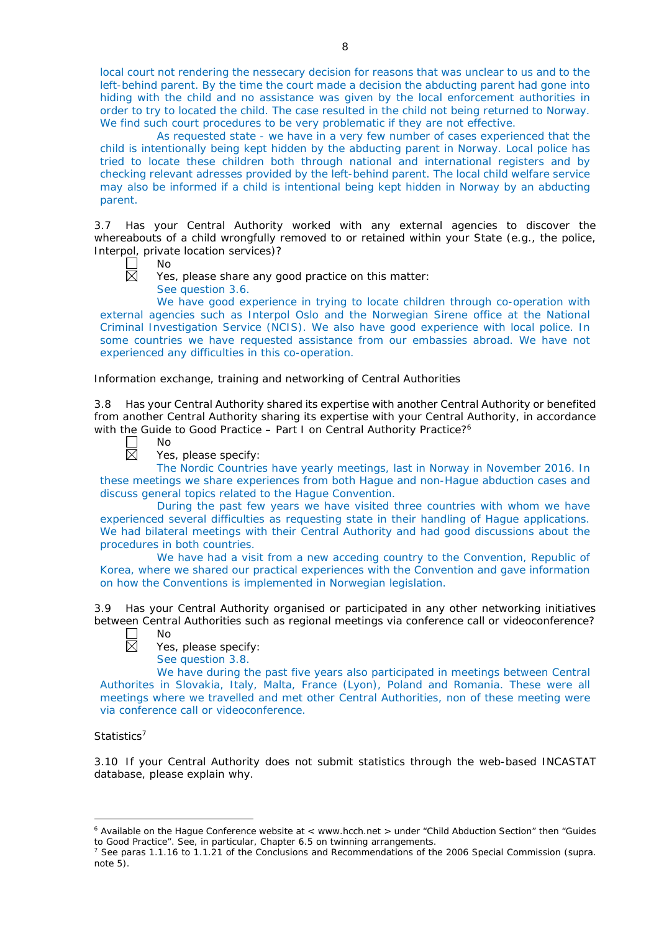local court not rendering the nessecary decision for reasons that was unclear to us and to the left-behind parent. By the time the court made a decision the abducting parent had gone into hiding with the child and no assistance was given by the local enforcement authorities in order to try to located the child. The case resulted in the child not being returned to Norway. We find such court procedures to be very problematic if they are not effective.

As requested state - we have in a very few number of cases experienced that the child is intentionally being kept hidden by the abducting parent in Norway. Local police has tried to locate these children both through national and international registers and by checking relevant adresses provided by the left-behind parent. The local child welfare service may also be informed if a child is intentional being kept hidden in Norway by an abducting parent.

3.7 Has your Central Authority worked with any external agencies to discover the whereabouts of a child wrongfully removed to or retained within your State (*e.g.*, the police, Interpol, private location services)?

- ┍ No 反
	- Yes, please share any good practice on this matter:

See question 3.6.

We have good experience in trying to locate children through co-operation with external agencies such as Interpol Oslo and the Norwegian Sirene office at the National Criminal Investigation Service (NCIS). We also have good experience with local police. In some countries we have requested assistance from our embassies abroad. We have not experienced any difficulties in this co-operation.

*Information exchange, training and networking of Central Authorities*

3.8 Has your Central Authority shared its expertise with another Central Authority or benefited from another Central Authority sharing its expertise with your Central Authority, in accordance with the Guide to Good Practice - Part I on Central Authority Practice?<sup>6</sup>

 $\Box$ 岗

No

Yes, please specify:

The Nordic Countries have yearly meetings, last in Norway in November 2016. In these meetings we share experiences from both Hague and non-Hague abduction cases and discuss general topics related to the Hague Convention.

During the past few years we have visited three countries with whom we have experienced several difficulties as requesting state in their handling of Hague applications. We had bilateral meetings with their Central Authority and had good discussions about the procedures in both countries.

We have had a visit from a new acceding country to the Convention, Republic of Korea, where we shared our practical experiences with the Convention and gave information on how the Conventions is implemented in Norwegian legislation.

3.9 Has your Central Authority organised or participated in any other networking initiatives between Central Authorities such as regional meetings via conference call or videoconference? No



Yes, please specify: See question 3.8.

We have during the past five years also participated in meetings between Central Authorites in Slovakia, Italy, Malta, France (Lyon), Poland and Romania. These were all meetings where we travelled and met other Central Authorities, non of these meeting were via conference call or videoconference.

# *Statistics*<sup>7</sup>

-

3.10 If your Central Authority does not submit statistics through the web-based INCASTAT database, please explain why.

<sup>6</sup> Available on the Hague Conference website at < www.hcch.net > under "Child Abduction Section" then "Guides to Good Practice". See, in particular, Chapter 6.5 on twinning arrangements.

<sup>7</sup> See paras 1.1.16 to 1.1.21 of the Conclusions and Recommendations of the 2006 Special Commission (*supra.*  note  $5$ ).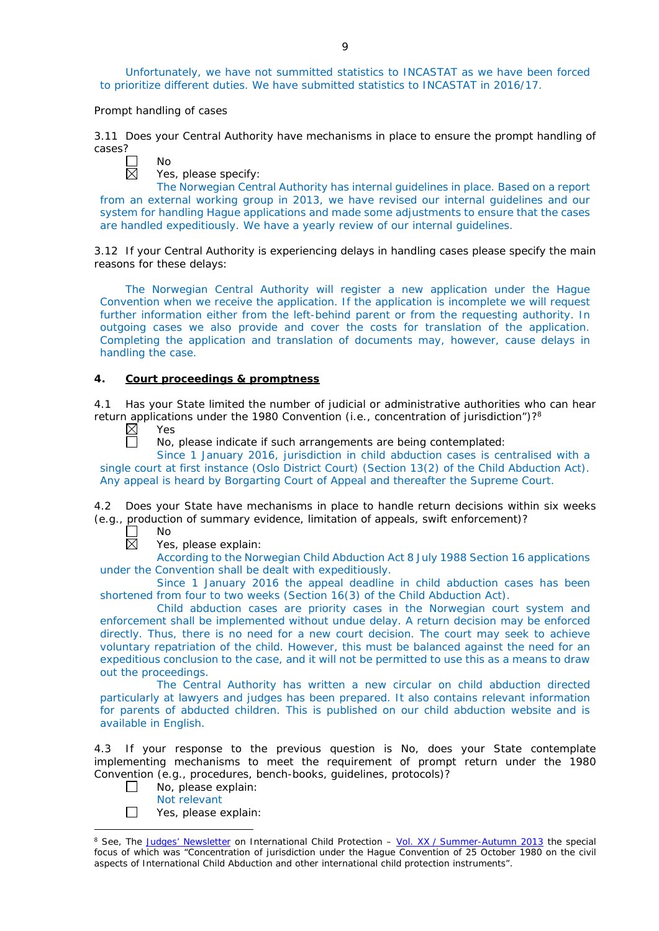Unfortunately, we have not summitted statistics to INCASTAT as we have been forced to prioritize different duties. We have submitted statistics to INCASTAT in 2016/17.

### *Prompt handling of cases*

 $N<sub>0</sub>$ 

3.11 Does your Central Authority have mechanisms in place to ensure the prompt handling of cases?

Yes, please specify:

The Norwegian Central Authority has internal guidelines in place. Based on a report from an external working group in 2013, we have revised our internal guidelines and our system for handling Hague applications and made some adjustments to ensure that the cases are handled expeditiously. We have a yearly review of our internal guidelines.

3.12 If your Central Authority is experiencing delays in handling cases please specify the main reasons for these delays:

The Norwegian Central Authority will register a new application under the Hague Convention when we receive the application. If the application is incomplete we will request further information either from the left-behind parent or from the requesting authority. In outgoing cases we also provide and cover the costs for translation of the application. Completing the application and translation of documents may, however, cause delays in handling the case.

## **4. Court proceedings & promptness**

4.1 Has your State limited the number of judicial or administrative authorities who can hear return applications under the 1980 Convention (*i.e.*, concentration of jurisdiction")?<sup>8</sup><br>  $\boxtimes$  Yes<br>
No. please indicate if such arrangements are being contemplated:

Yes

No, please indicate if such arrangements are being contemplated:

Since 1 January 2016, jurisdiction in child abduction cases is centralised with a single court at first instance (Oslo District Court) (Section 13(2) of the Child Abduction Act). Any appeal is heard by Borgarting Court of Appeal and thereafter the Supreme Court.

4.2 Does your State have mechanisms in place to handle return decisions within six weeks (*e.g.*, production of summary evidence, limitation of appeals, swift enforcement)?

No  $\boxtimes$ 

Yes, please explain:

According to the Norwegian Child Abduction Act 8 July 1988 Section 16 applications under the Convention shall be dealt with expeditiously.

Since 1 January 2016 the appeal deadline in child abduction cases has been shortened from four to two weeks (Section 16(3) of the Child Abduction Act).

Child abduction cases are priority cases in the Norwegian court system and enforcement shall be implemented without undue delay. A return decision may be enforced directly. Thus, there is no need for a new court decision. The court may seek to achieve voluntary repatriation of the child. However, this must be balanced against the need for an expeditious conclusion to the case, and it will not be permitted to use this as a means to draw out the proceedings.

The Central Authority has written a new circular on child abduction directed particularly at lawyers and judges has been prepared. It also contains relevant information for parents of abducted children. This is published on our child abduction website and is available in English.

4.3 If your response to the previous question is No, does your State contemplate implementing mechanisms to meet the requirement of prompt return under the 1980 Convention (*e.g.*, procedures, bench-books, guidelines, protocols)?

- $\Box$ No, please explain:
	- Not relevant

-

 $\Box$ Yes, please explain:

<sup>8</sup> See, *The [Judges' Newsletter](https://www.hcch.net/en/instruments/conventions/publications2/judges-newsletter)* on International Child Protection – Vol. XX / [Summer-Autumn 2013](https://assets.hcch.net/upload/newsletter/nl2013tome20en.pdf) the special focus of which was "Concentration of jurisdiction under the *Hague Convention of 25 October 1980 on the civil aspects of International Child Abduction* and other international child protection instruments".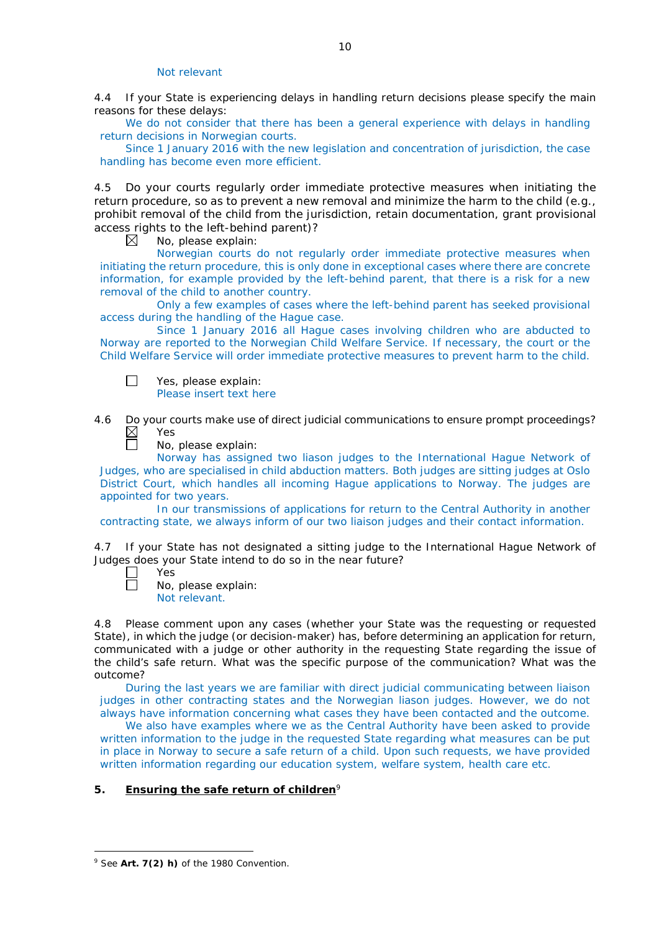### Not relevant

4.4 If your State is experiencing delays in handling return decisions please specify the main reasons for these delays:

We do not consider that there has been a general experience with delays in handling return decisions in Norwegian courts.

Since 1 January 2016 with the new legislation and concentration of jurisdiction, the case handling has become even more efficient.

4.5 Do your courts regularly order immediate protective measures when initiating the return procedure, so as to prevent a new removal and minimize the harm to the child (*e.g.*, prohibit removal of the child from the jurisdiction, retain documentation, grant provisional access rights to the left-behind parent)?<br>  $\boxtimes$  No please explain:

No, please explain:

Norwegian courts do not regularly order immediate protective measures when initiating the return procedure, this is only done in exceptional cases where there are concrete information, for example provided by the left-behind parent, that there is a risk for a new removal of the child to another country.

Only a few examples of cases where the left-behind parent has seeked provisional access during the handling of the Hague case.

Since 1 January 2016 all Hague cases involving children who are abducted to Norway are reported to the Norwegian Child Welfare Service. If necessary, the court or the Child Welfare Service will order immediate protective measures to prevent harm to the child.

 $\Box$ Yes, please explain: Please insert text here

4.6 Do your courts make use of direct judicial communications to ensure prompt proceedings?  $\boxtimes$ Yes

No, please explain:

Norway has assigned two liason judges to the International Hague Network of Judges, who are specialised in child abduction matters. Both judges are sitting judges at Oslo District Court, which handles all incoming Hague applications to Norway. The judges are appointed for two years.

In our transmissions of applications for return to the Central Authority in another contracting state, we always inform of our two liaison judges and their contact information.

4.7 If your State has not designated a sitting judge to the International Hague Network of Judges does your State intend to do so in the near future?

 $\Box$ Yes  $\Box$ No, please explain:

Not relevant.

4.8 Please comment upon any cases (whether your State was the requesting or requested State), in which the judge (or decision-maker) has, before determining an application for return, communicated with a judge or other authority in the requesting State regarding the issue of the child's safe return. What was the specific purpose of the communication? What was the outcome?

During the last years we are familiar with direct judicial communicating between liaison judges in other contracting states and the Norwegian liason judges. However, we do not always have information concerning what cases they have been contacted and the outcome.

We also have examples where we as the Central Authority have been asked to provide written information to the judge in the requested State regarding what measures can be put in place in Norway to secure a safe return of a child. Upon such requests, we have provided written information regarding our education system, welfare system, health care etc.

# **5. Ensuring the safe return of children**<sup>9</sup>

<u>.</u>

<sup>9</sup> See **Art. 7(2)** *h)* of the 1980 Convention.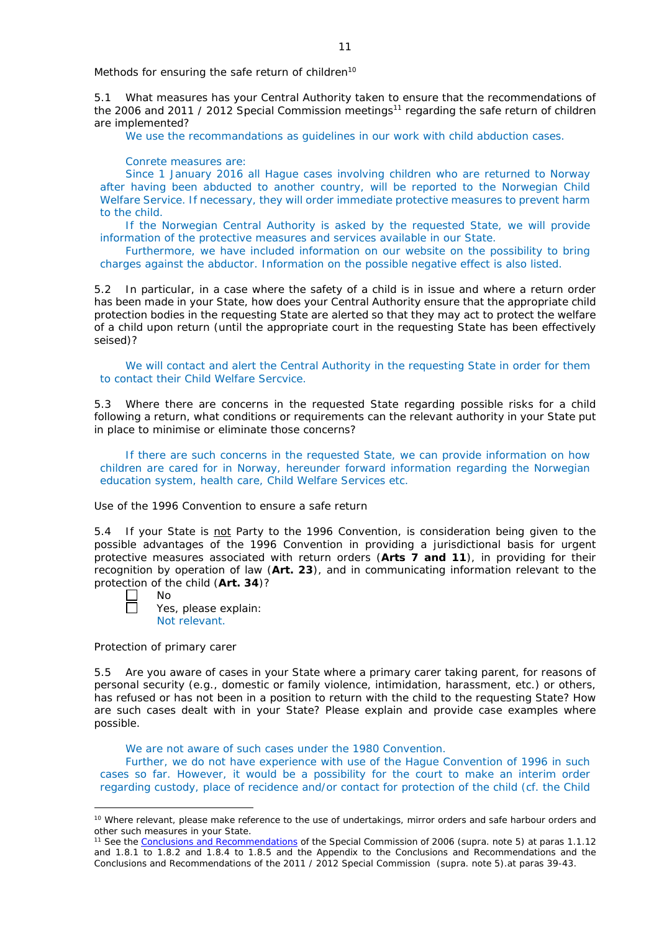*Methods for ensuring the safe return of children*<sup>10</sup>

5.1 What measures has your Central Authority taken to ensure that the recommendations of the 2006 and 2011 / 2012 Special Commission meetings<sup>11</sup> regarding the safe return of children are implemented?

We use the recommandations as guidelines in our work with child abduction cases.

Conrete measures are:

Since 1 January 2016 all Hague cases involving children who are returned to Norway after having been abducted to another country, will be reported to the Norwegian Child Welfare Service. If necessary, they will order immediate protective measures to prevent harm to the child.

If the Norwegian Central Authority is asked by the requested State, we will provide information of the protective measures and services available in our State.

Furthermore, we have included information on our website on the possibility to bring charges against the abductor. Information on the possible negative effect is also listed.

5.2 In particular, in a case where the safety of a child is in issue and where a return order has been made in your State, how does your Central Authority ensure that the appropriate child protection bodies in the *requesting* State are alerted so that they may act to protect the welfare of a child upon return (until the appropriate court in the requesting State has been effectively seised)?

We will contact and alert the Central Authority in the requesting State in order for them to contact their Child Welfare Sercvice.

5.3 Where there are concerns in the requested State regarding possible risks for a child following a return, what conditions or requirements can the relevant authority in your State put in place to minimise or eliminate those concerns?

If there are such concerns in the requested State, we can provide information on how children are cared for in Norway, hereunder forward information regarding the Norwegian education system, health care, Child Welfare Services etc.

*Use of the 1996 Convention to ensure a safe return*

5.4 If your State is not Party to the 1996 Convention, is consideration being given to the possible advantages of the 1996 Convention in providing a jurisdictional basis for urgent protective measures associated with return orders (**Arts 7 and 11**), in providing for their recognition by operation of law (**Art. 23**), and in communicating information relevant to the protection of the child (**Art. 34**)?

-

Yes, please explain: Not relevant.

*Protection of primary carer*

No

5.5 Are you aware of cases in your State where a primary carer taking parent, for reasons of personal security (*e.g.*, domestic or family violence, intimidation, harassment, etc.) or others, has refused or has not been in a position to return with the child to the requesting State? How are such cases dealt with in your State? Please explain and provide case examples where possible.

We are not aware of such cases under the 1980 Convention.

Further, we do not have experience with use of the Hague Convention of 1996 in such cases so far. However, it would be a possibility for the court to make an interim order regarding custody, place of recidence and/or contact for protection of the child (cf. the Child

<sup>&</sup>lt;sup>10</sup> Where relevant, please make reference to the use of undertakings, mirror orders and safe harbour orders and other such measures in your State.

<sup>11</sup> See the [Conclusions and Recommendations](https://assets.hcch.net/upload/concl28sc5_e.pdf) of the Special Commission of 2006 (*supra.* note 5) at paras 1.1.12 and 1.8.1 to 1.8.2 and 1.8.4 to 1.8.5 and the Appendix to the Conclusions and Recommendations and the [Conclusions and Recommendations of the 2011](https://assets.hcch.net/upload/wop/concl28sc6_e.pdf) / 2012 Special Commission (*supra.* note 5).at paras 39-43.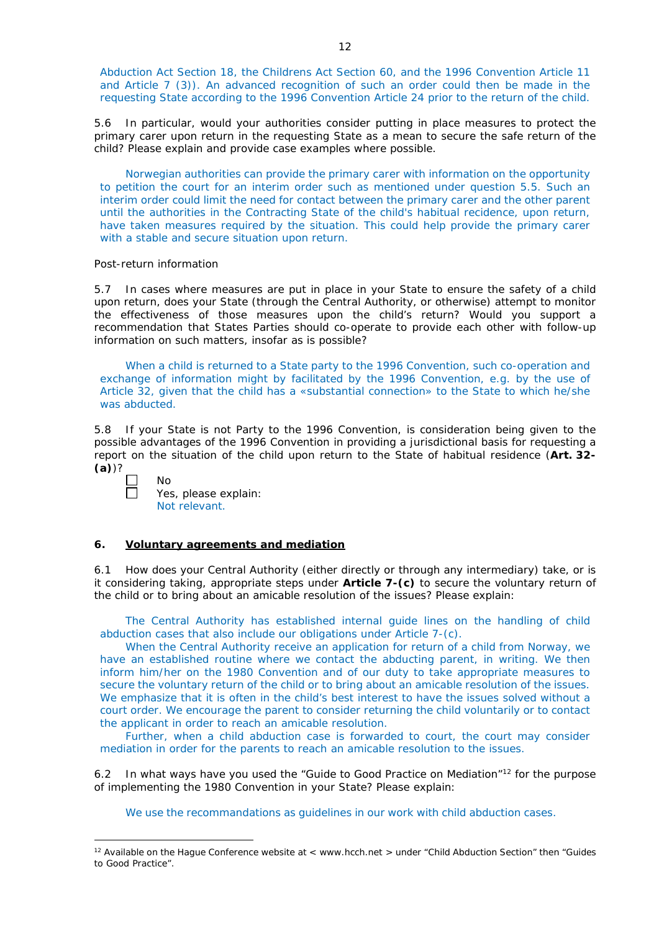Abduction Act Section 18, the Childrens Act Section 60, and the 1996 Convention Article 11 and Article 7 (3)). An advanced recognition of such an order could then be made in the requesting State according to the 1996 Convention Article 24 prior to the return of the child.

5.6 In particular, would your authorities consider putting in place measures to protect the primary carer upon return in the requesting State as a mean to secure the safe return of the child? Please explain and provide case examples where possible.

Norwegian authorities can provide the primary carer with information on the opportunity to petition the court for an interim order such as mentioned under question 5.5. Such an interim order could limit the need for contact between the primary carer and the other parent until the authorities in the Contracting State of the child's habitual recidence, upon return, have taken measures required by the situation. This could help provide the primary carer with a stable and secure situation upon return.

#### *Post-return information*

5.7 In cases where measures are put in place in your State to ensure the safety of a child upon return, does your State (through the Central Authority, or otherwise) attempt to monitor the effectiveness of those measures upon the child's return? Would you support a recommendation that States Parties should co-operate to provide each other with follow-up information on such matters, insofar as is possible?

When a child is returned to a State party to the 1996 Convention, such co-operation and exchange of information might by facilitated by the 1996 Convention, e.g. by the use of Article 32, given that the child has a «substantial connection» to the State to which he/she was abducted.

5.8 If your State is not Party to the 1996 Convention, is consideration being given to the possible advantages of the 1996 Convention in providing a jurisdictional basis for requesting a report on the situation of the child upon return to the State of habitual residence (**Art. 32- (a)**)?

-

 $N<sub>0</sub>$ 

Yes, please explain: Not relevant.

## **6. Voluntary agreements and mediation**

6.1 How does your Central Authority (either directly or through any intermediary) take, or is it considering taking, appropriate steps under **Article 7-(c)** to secure the voluntary return of the child or to bring about an amicable resolution of the issues? Please explain:

The Central Authority has established internal guide lines on the handling of child abduction cases that also include our obligations under Article 7-(c).

When the Central Authority receive an application for return of a child from Norway, we have an established routine where we contact the abducting parent, in writing. We then inform him/her on the 1980 Convention and of our duty to take appropriate measures to secure the voluntary return of the child or to bring about an amicable resolution of the issues. We emphasize that it is often in the child's best interest to have the issues solved without a court order. We encourage the parent to consider returning the child voluntarily or to contact the applicant in order to reach an amicable resolution.

Further, when a child abduction case is forwarded to court, the court may consider mediation in order for the parents to reach an amicable resolution to the issues.

6.2 In what ways have you used the "Guide to Good Practice on Mediation"12 for the purpose of implementing the 1980 Convention in your State? Please explain:

We use the recommandations as quidelines in our work with child abduction cases.

<sup>&</sup>lt;sup>12</sup> Available on the Hague Conference website at < www.hcch.net > under "Child Abduction Section" then "Guides to Good Practice".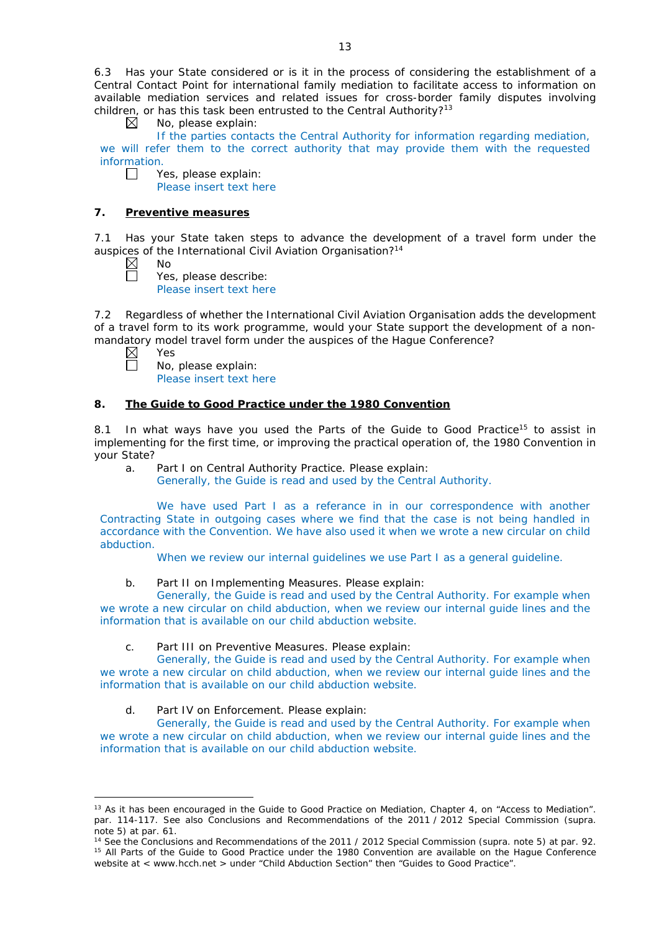6.3 Has your State considered or is it in the process of considering the establishment of a Central Contact Point for international family mediation to facilitate access to information on available mediation services and related issues for cross-border family disputes involving children, or has this task been entrusted to the Central Authority?<sup>13</sup><br>  $\boxtimes$  No, please explain:

No, please explain:

If the parties contacts the Central Authority for information regarding mediation, we will refer them to the correct authority that may provide them with the requested information.

 $\Box$ Yes, please explain: Please insert text here

# **7. Preventive measures**

7.1 Has your State taken steps to advance the development of a travel form under the auspices of the International Civil Aviation Organisation?<sup>14</sup>

 $\boxtimes$ No

 $\Box$ 

Yes, please describe:

Please insert text here

7.2 Regardless of whether the International Civil Aviation Organisation adds the development of a travel form to its work programme, would your State support the development of a nonmandatory model travel form under the auspices of the Hague Conference?<br>  $\boxtimes$  Yes<br>  $\Box$  No, please explain:

Yes

-

No, please explain: Please insert text here

# **8. The Guide to Good Practice under the 1980 Convention**

8.1 In what ways have you used the Parts of the Guide to Good Practice<sup>15</sup> to assist in implementing for the first time, or improving the practical operation of, the 1980 Convention in your State?

- a. Part I on Central Authority Practice. Please explain:
	- Generally, the Guide is read and used by the Central Authority.

We have used Part I as a referance in in our correspondence with another Contracting State in outgoing cases where we find that the case is not being handled in accordance with the Convention. We have also used it when we wrote a new circular on child abduction.

When we review our internal guidelines we use Part I as a general guideline.

b. Part II on Implementing Measures. Please explain:

Generally, the Guide is read and used by the Central Authority. For example when we wrote a new circular on child abduction, when we review our internal guide lines and the information that is available on our child abduction website.

c. Part III on Preventive Measures. Please explain:

Generally, the Guide is read and used by the Central Authority. For example when we wrote a new circular on child abduction, when we review our internal guide lines and the information that is available on our child abduction website.

d. Part IV on Enforcement. Please explain:

Generally, the Guide is read and used by the Central Authority. For example when we wrote a new circular on child abduction, when we review our internal guide lines and the information that is available on our child abduction website.

<sup>&</sup>lt;sup>13</sup> As it has been encouraged in the Guide to Good Practice on Mediation, Chapter 4, on "Access to Mediation". par. 114-117. See also [Conclusions and Recommendations of the 2011](https://assets.hcch.net/upload/wop/concl28sc6_e.pdf) / 2012 Special Commission (*supra.* note 5) at par. 61.

<sup>14</sup> See the [Conclusions and Recommendations of the 2011](https://assets.hcch.net/upload/wop/concl28sc6_e.pdf) / 2012 Special Commission (*supra.* note 5) at par. 92. <sup>15</sup> All Parts of the Guide to Good Practice under the 1980 Convention are available on the Hague Conference website at < www.hcch.net > under "Child Abduction Section" then "Guides to Good Practice".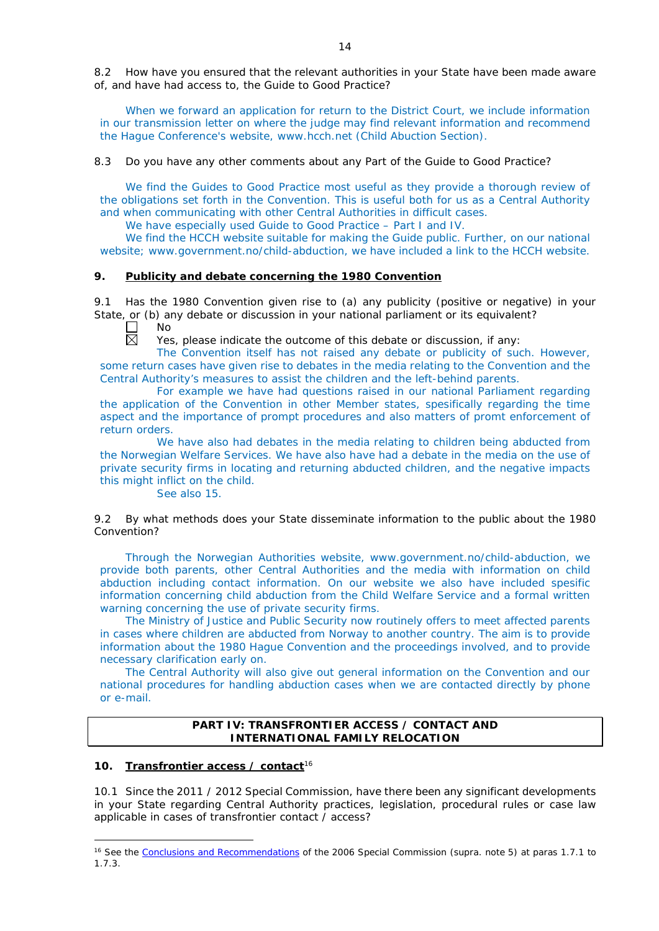8.2 How have you ensured that the relevant authorities in your State have been made aware of, and have had access to, the Guide to Good Practice?

When we forward an application for return to the District Court, we include information in our transmission letter on where the judge may find relevant information and recommend the Hague Conference's website, www.hcch.net (Child Abuction Section).

8.3 Do you have any other comments about any Part of the Guide to Good Practice?

We find the Guides to Good Practice most useful as they provide a thorough review of the obligations set forth in the Convention. This is useful both for us as a Central Authority and when communicating with other Central Authorities in difficult cases.

We have especially used Guide to Good Practice – Part I and IV.

We find the HCCH website suitable for making the Guide public. Further, on our national website; www.government.no/child-abduction, we have included a link to the HCCH website.

## **9. Publicity and debate concerning the 1980 Convention**

9.1 Has the 1980 Convention given rise to (a) any publicity (positive or negative) in your State, or (b) any debate or discussion in your national parliament or its equivalent? No

 $\Box$ 岗

Yes, please indicate the outcome of this debate or discussion, if any:

The Convention itself has not raised any debate or publicity of such. However, some return cases have given rise to debates in the media relating to the Convention and the Central Authority's measures to assist the children and the left-behind parents.

For example we have had questions raised in our national Parliament regarding the application of the Convention in other Member states, spesifically regarding the time aspect and the importance of prompt procedures and also matters of promt enforcement of return orders.

We have also had debates in the media relating to children being abducted from the Norwegian Welfare Services. We have also have had a debate in the media on the use of private security firms in locating and returning abducted children, and the negative impacts this might inflict on the child.

See also 15.

9.2 By what methods does your State disseminate information to the public about the 1980 Convention?

Through the Norwegian Authorities website, www.government.no/child-abduction, we provide both parents, other Central Authorities and the media with information on child abduction including contact information. On our website we also have included spesific information concerning child abduction from the Child Welfare Service and a formal written warning concerning the use of private security firms.

The Ministry of Justice and Public Security now routinely offers to meet affected parents in cases where children are abducted from Norway to another country. The aim is to provide information about the 1980 Hague Convention and the proceedings involved, and to provide necessary clarification early on.

The Central Authority will also give out general information on the Convention and our national procedures for handling abduction cases when we are contacted directly by phone or e-mail.

# **PART IV: TRANSFRONTIER ACCESS / CONTACT AND INTERNATIONAL FAMILY RELOCATION**

# **10. Transfrontier access / contact**<sup>16</sup>

-

10.1 Since the 2011 / 2012 Special Commission, have there been any significant developments in your State regarding Central Authority practices, legislation, procedural rules or case law applicable in cases of transfrontier contact / access?

<sup>16</sup> See the [Conclusions and Recommendations](https://assets.hcch.net/upload/concl28sc5_e.pdf) of the 2006 Special Commission (*supra.* note 5) at paras 1.7.1 to 1.7.3.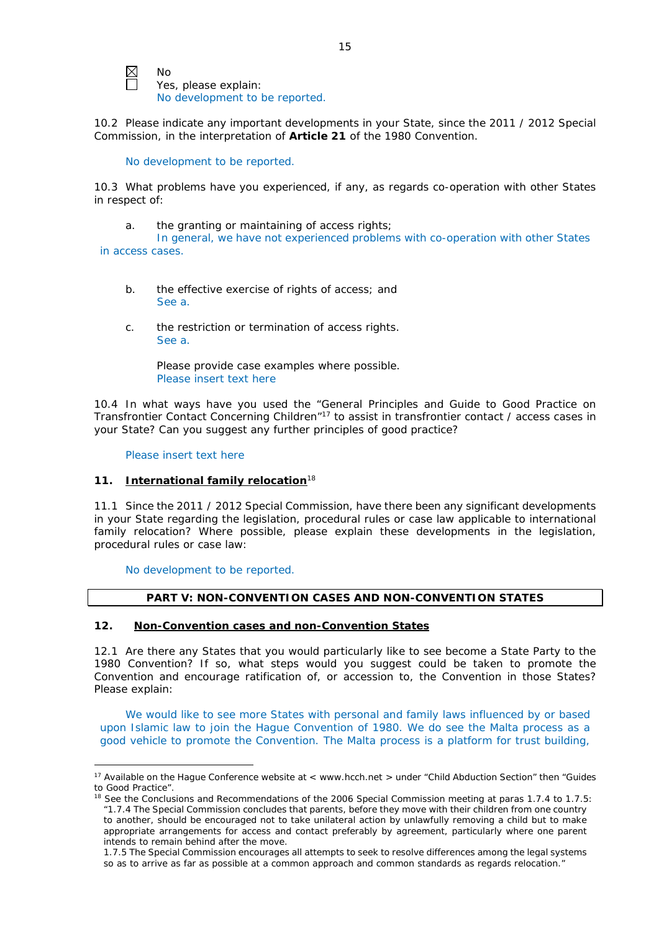

No Yes, please explain: No development to be reported.

10.2 Please indicate any important developments in your State, since the 2011 / 2012 Special Commission, in the interpretation of **Article 21** of the 1980 Convention.

No development to be reported.

10.3 What problems have you experienced, if any, as regards co-operation with other States in respect of:

a. the granting or maintaining of access rights;

In general, we have not experienced problems with co-operation with other States in access cases.

- b. the effective exercise of rights of access; and See a.
- c. the restriction or termination of access rights. See a.

Please provide case examples where possible. Please insert text here

10.4 In what ways have you used the "General Principles and Guide to Good Practice on Transfrontier Contact Concerning Children"17 to assist in transfrontier contact / access cases in your State? Can you suggest any further principles of good practice?

Please insert text here

<u>.</u>

# **11. International family relocation**<sup>18</sup>

11.1 Since the 2011 / 2012 Special Commission, have there been any significant developments in your State regarding the legislation, procedural rules or case law applicable to international family relocation? Where possible, please explain these developments in the legislation, procedural rules or case law:

No development to be reported.

# **PART V: NON-CONVENTION CASES AND NON-CONVENTION STATES**

# **12. Non-Convention cases and non-Convention States**

12.1 Are there any States that you would particularly like to see become a State Party to the 1980 Convention? If so, what steps would you suggest could be taken to promote the Convention and encourage ratification of, or accession to, the Convention in those States? Please explain:

We would like to see more States with personal and family laws influenced by or based upon Islamic law to join the Hague Convention of 1980. We do see the Malta process as a good vehicle to promote the Convention. The Malta process is a platform for trust building,

<sup>&</sup>lt;sup>17</sup> Available on the Hague Conference website at < www.hcch.net > under "Child Abduction Section" then "Guides to Good Practice".

<sup>&</sup>lt;sup>18</sup> See the Conclusions and Recommendations of the 2006 Special Commission meeting at paras 1.7.4 to 1.7.5: *"*1.7.4 The Special Commission concludes that parents, before they move with their children from one country to another, should be encouraged not to take unilateral action by unlawfully removing a child but to make appropriate arrangements for access and contact preferably by agreement, particularly where one parent intends to remain behind after the move.

<sup>1.7.5</sup> The Special Commission encourages all attempts to seek to resolve differences among the legal systems so as to arrive as far as possible at a common approach and common standards as regards relocation."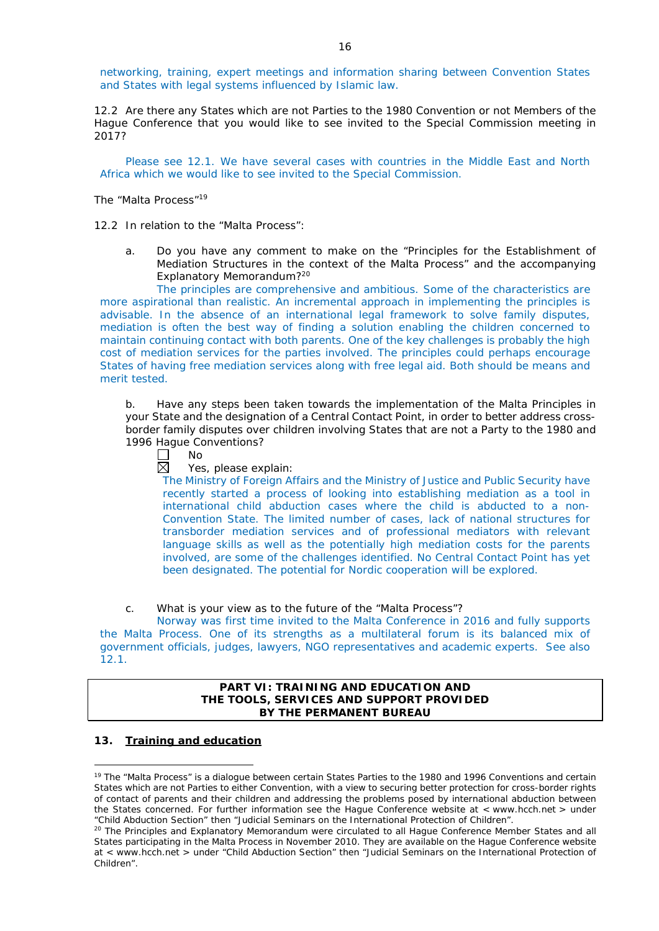networking, training, expert meetings and information sharing between Convention States and States with legal systems influenced by Islamic law.

12.2 Are there any States which are not Parties to the 1980 Convention or not Members of the Hague Conference that you would like to see invited to the Special Commission meeting in 2017?

Please see 12.1. We have several cases with countries in the Middle East and North Africa which we would like to see invited to the Special Commission.

*The "Malta Process"*<sup>19</sup>

12.2 In relation to the "Malta Process":

a. Do you have any comment to make on the "Principles for the Establishment of Mediation Structures in the context of the Malta Process" and the accompanying Explanatory Memorandum?20

The principles are comprehensive and ambitious. Some of the characteristics are more aspirational than realistic. An incremental approach in implementing the principles is advisable. In the absence of an international legal framework to solve family disputes, mediation is often the best way of finding a solution enabling the children concerned to maintain continuing contact with both parents. One of the key challenges is probably the high cost of mediation services for the parties involved. The principles could perhaps encourage States of having free mediation services along with free legal aid. Both should be means and merit tested.

b. Have any steps been taken towards the implementation of the Malta Principles in your State and the designation of a Central Contact Point, in order to better address crossborder family disputes over children involving States that are not a Party to the 1980 and 1996 Hague Conventions?

П No

 $\boxtimes$ Yes, please explain:

The Ministry of Foreign Affairs and the Ministry of Justice and Public Security have recently started a process of looking into establishing mediation as a tool in international child abduction cases where the child is abducted to a non-Convention State. The limited number of cases, lack of national structures for transborder mediation services and of professional mediators with relevant language skills as well as the potentially high mediation costs for the parents involved, are some of the challenges identified. No Central Contact Point has yet been designated. The potential for Nordic cooperation will be explored.

c. What is your view as to the future of the "Malta Process"?

Norway was first time invited to the Malta Conference in 2016 and fully supports the Malta Process. One of its strengths as a multilateral forum is its balanced mix of government officials, judges, lawyers, NGO representatives and academic experts. See also 12.1.

# **PART VI: TRAINING AND EDUCATION AND THE TOOLS, SERVICES AND SUPPORT PROVIDED BY THE PERMANENT BUREAU**

#### **13. Training and education**

<u>.</u>

<sup>&</sup>lt;sup>19</sup> The "Malta Process" is a dialogue between certain States Parties to the 1980 and 1996 Conventions and certain States which are not Parties to either Convention, with a view to securing better protection for cross-border rights of contact of parents and their children and addressing the problems posed by international abduction between the States concerned. For further information see the Hague Conference website at < www.hcch.net > under "Child Abduction Section" then "Judicial Seminars on the International Protection of Children".

<sup>&</sup>lt;sup>20</sup> The Principles and Explanatory Memorandum were circulated to all Hague Conference Member States and all States participating in the Malta Process in November 2010. They are available on the Hague Conference website at < www.hcch.net > under "Child Abduction Section" then "Judicial Seminars on the International Protection of Children".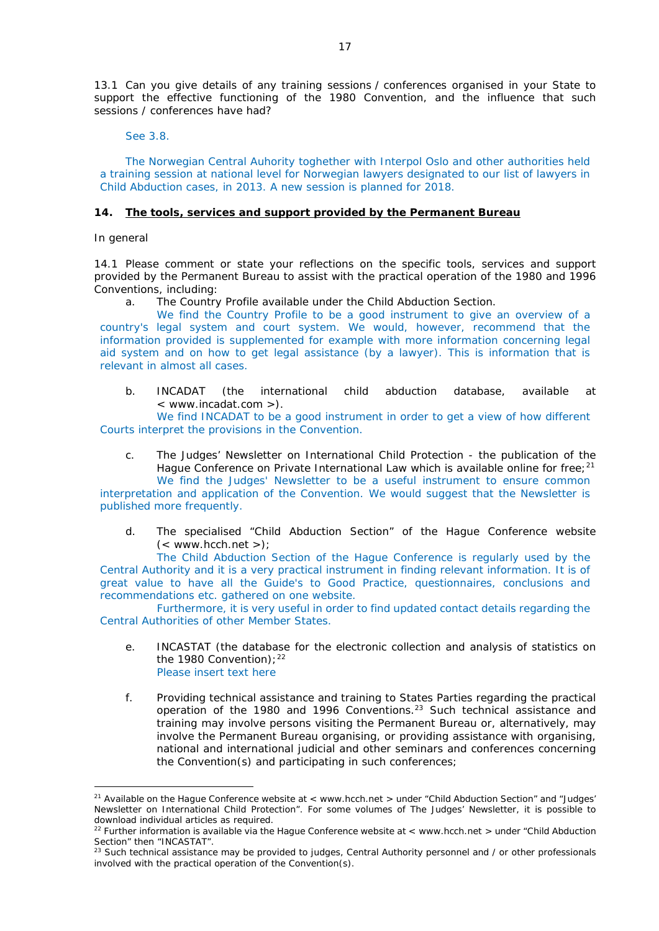13.1 Can you give details of any training sessions / conferences organised in your State to support the effective functioning of the 1980 Convention, and the influence that such sessions / conferences have had?

See 3.8.

The Norwegian Central Auhority toghether with Interpol Oslo and other authorities held a training session at national level for Norwegian lawyers designated to our list of lawyers in Child Abduction cases, in 2013. A new session is planned for 2018.

## **14. The tools, services and support provided by the Permanent Bureau**

*In general*

<u>.</u>

14.1 Please comment or state your reflections on the specific tools, services and support provided by the Permanent Bureau to assist with the practical operation of the 1980 and 1996 Conventions, including:

a. The Country Profile available under the Child Abduction Section.

We find the Country Profile to be a good instrument to give an overview of a country's legal system and court system. We would, however, recommend that the information provided is supplemented for example with more information concerning legal aid system and on how to get legal assistance (by a lawyer). This is information that is relevant in almost all cases.

b. INCADAT (the international child abduction database, available at < www.incadat.com >).

We find INCADAT to be a good instrument in order to get a view of how different Courts interpret the provisions in the Convention.

c. *The Judges' Newsletter* on International Child Protection - the publication of the Hague Conference on Private International Law which is available online for free;<sup>21</sup> We find the Judges' Newsletter to be a useful instrument to ensure common

interpretation and application of the Convention. We would suggest that the Newsletter is published more frequently.

d. The specialised "Child Abduction Section" of the Hague Conference website  $(<$  www.hcch.net >);

The Child Abduction Section of the Hague Conference is regularly used by the Central Authority and it is a very practical instrument in finding relevant information. It is of great value to have all the Guide's to Good Practice, questionnaires, conclusions and recommendations etc. gathered on one website.

Furthermore, it is very useful in order to find updated contact details regarding the Central Authorities of other Member States.

- e. INCASTAT (the database for the electronic collection and analysis of statistics on the 1980 Convention);  $22$ Please insert text here
- f. Providing technical assistance and training to States Parties regarding the practical operation of the 1980 and 1996 Conventions.23 Such technical assistance and training may involve persons visiting the Permanent Bureau or, alternatively, may involve the Permanent Bureau organising, or providing assistance with organising, national and international judicial and other seminars and conferences concerning the Convention(s) and participating in such conferences;

<sup>&</sup>lt;sup>21</sup> Available on the Hague Conference website at < www.hcch.net > under "Child Abduction Section" and "Judges' Newsletter on International Child Protection". For some volumes of *The Judges' Newsletter*, it is possible to download individual articles as required.

<sup>22</sup> Further information is available via the Hague Conference website at < www.hcch.net > under "Child Abduction Section" then "INCASTAT".

<sup>23</sup> Such technical assistance may be provided to judges, Central Authority personnel and / or other professionals involved with the practical operation of the Convention(s).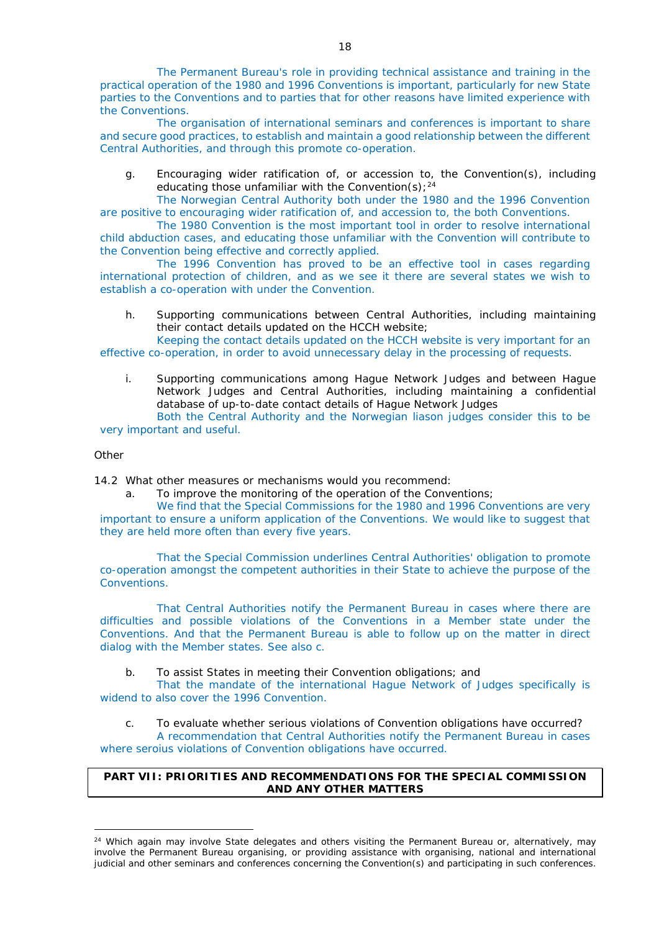The Permanent Bureau's role in providing technical assistance and training in the practical operation of the 1980 and 1996 Conventions is important, particularly for new State parties to the Conventions and to parties that for other reasons have limited experience with the Conventions.

The organisation of international seminars and conferences is important to share and secure good practices, to establish and maintain a good relationship between the different Central Authorities, and through this promote co-operation.

g. Encouraging wider ratification of, or accession to, the Convention(s), including educating those unfamiliar with the Convention(s);  $24$ 

The Norwegian Central Authority both under the 1980 and the 1996 Convention are positive to encouraging wider ratification of, and accession to, the both Conventions.

The 1980 Convention is the most important tool in order to resolve international child abduction cases, and educating those unfamiliar with the Convention will contribute to the Convention being effective and correctly applied.

The 1996 Convention has proved to be an effective tool in cases regarding international protection of children, and as we see it there are several states we wish to establish a co-operation with under the Convention.

h. Supporting communications between Central Authorities, including maintaining their contact details updated on the HCCH website;

Keeping the contact details updated on the HCCH website is very important for an effective co-operation, in order to avoid unnecessary delay in the processing of requests.

i. Supporting communications among Hague Network Judges and between Hague Network Judges and Central Authorities, including maintaining a confidential database of up-to-date contact details of Hague Network Judges Both the Central Authority and the Norwegian liason judges consider this to be

very important and useful.

#### *Other*

-

14.2 What other measures or mechanisms would you recommend:

a. To improve the monitoring of the operation of the Conventions;

We find that the Special Commissions for the 1980 and 1996 Conventions are very important to ensure a uniform application of the Conventions. We would like to suggest that they are held more often than every five years.

That the Special Commission underlines Central Authorities' obligation to promote co-operation amongst the competent authorities in their State to achieve the purpose of the Conventions.

That Central Authorities notify the Permanent Bureau in cases where there are difficulties and possible violations of the Conventions in a Member state under the Conventions. And that the Permanent Bureau is able to follow up on the matter in direct dialog with the Member states. See also c.

b. To assist States in meeting their Convention obligations; and

That the mandate of the international Hague Network of Judges specifically is widend to also cover the 1996 Convention.

c. To evaluate whether serious violations of Convention obligations have occurred? A recommendation that Central Authorities notify the Permanent Bureau in cases

where seroius violations of Convention obligations have occurred.

# **PART VII: PRIORITIES AND RECOMMENDATIONS FOR THE SPECIAL COMMISSION AND ANY OTHER MATTERS**

<sup>&</sup>lt;sup>24</sup> Which again may involve State delegates and others visiting the Permanent Bureau or, alternatively, may involve the Permanent Bureau organising, or providing assistance with organising, national and international judicial and other seminars and conferences concerning the Convention(s) and participating in such conferences.